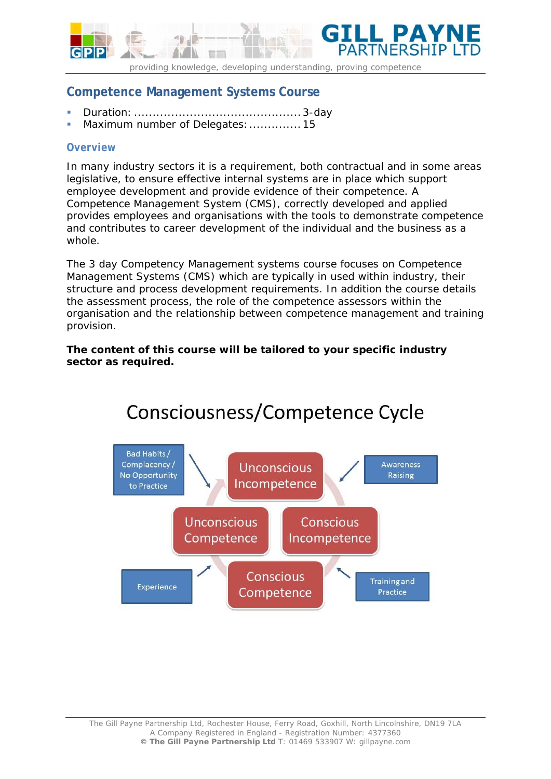

*providing knowledge, developing understanding, proving competence* 

# **Competence Management Systems Course**

- Duration: ............................................. 3-day
- Maximum number of Delegates: ................ 15

## *Overview*

In many industry sectors it is a requirement, both contractual and in some areas legislative, to ensure effective internal systems are in place which support employee development and provide evidence of their competence. A Competence Management System (CMS), correctly developed and applied provides employees and organisations with the tools to demonstrate competence and contributes to career development of the individual and the business as a whole.

The 3 day Competency Management systems course focuses on Competence Management Systems (CMS) which are typically in used within industry, their structure and process development requirements. In addition the course details the assessment process, the role of the competence assessors within the organisation and the relationship between competence management and training provision.

### **The content of this course will be tailored to your specific industry sector as required.**



# Consciousness/Competence Cycle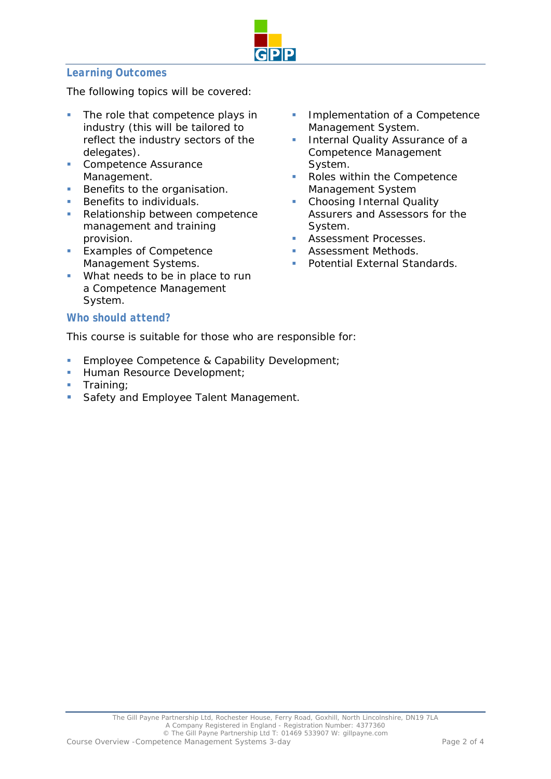

## *Learning Outcomes*

The following topics will be covered:

- The role that competence plays in industry (this will be tailored to reflect the industry sectors of the delegates).
- **Competence Assurance** Management.
- Benefits to the organisation.
- **Benefits to individuals.**
- Relationship between competence management and training provision.
- **Examples of Competence** Management Systems.
- **What needs to be in place to run** a Competence Management System.

### *Who should attend?*

This course is suitable for those who are responsible for:

- **Employee Competence & Capability Development;**
- **Human Resource Development;**
- Training;
- **Safety and Employee Talent Management.**
- **Implementation of a Competence** Management System.
- Internal Quality Assurance of a Competence Management System.
- Roles within the Competence Management System
- Choosing Internal Quality Assurers and Assessors for the System.
- Assessment Processes.
- Assessment Methods.
- Potential External Standards.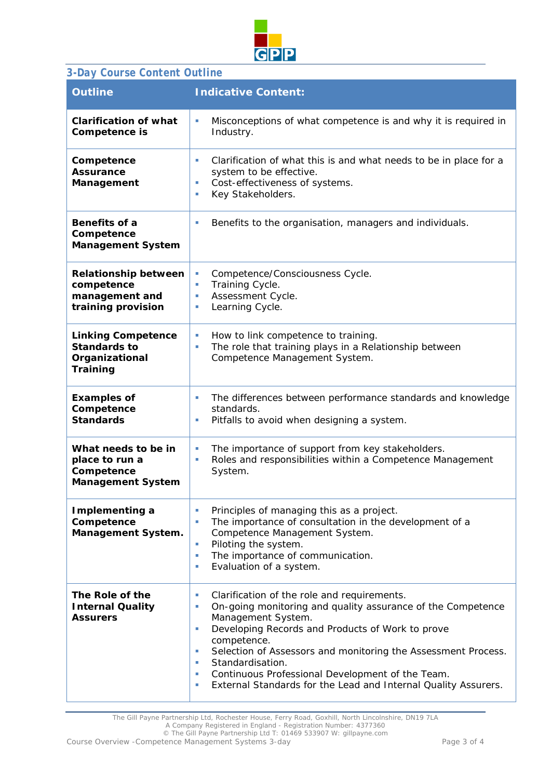

# *3-Day Course Content Outline*

| <b>Outline</b>                                                                        | <b>Indicative Content:</b>                                                                                                                                                                                                                                                                                                                                                                                                                   |
|---------------------------------------------------------------------------------------|----------------------------------------------------------------------------------------------------------------------------------------------------------------------------------------------------------------------------------------------------------------------------------------------------------------------------------------------------------------------------------------------------------------------------------------------|
| <b>Clarification of what</b><br>Competence is                                         | Misconceptions of what competence is and why it is required in<br>$\sim$<br>Industry.                                                                                                                                                                                                                                                                                                                                                        |
| Competence<br><b>Assurance</b><br>Management                                          | Clarification of what this is and what needs to be in place for a<br>ш<br>system to be effective.<br>Cost-effectiveness of systems.<br>Key Stakeholders.<br>×                                                                                                                                                                                                                                                                                |
| Benefits of a<br>Competence<br><b>Management System</b>                               | Benefits to the organisation, managers and individuals.<br>×                                                                                                                                                                                                                                                                                                                                                                                 |
| <b>Relationship between</b><br>competence<br>management and<br>training provision     | Competence/Consciousness Cycle.<br>ш<br>Training Cycle.<br>ш<br>Assessment Cycle.<br>ш<br>Learning Cycle.<br>×                                                                                                                                                                                                                                                                                                                               |
| <b>Linking Competence</b><br><b>Standards to</b><br>Organizational<br><b>Training</b> | How to link competence to training.<br>ш<br>The role that training plays in a Relationship between<br>ш<br>Competence Management System.                                                                                                                                                                                                                                                                                                     |
| <b>Examples of</b><br>Competence<br><b>Standards</b>                                  | The differences between performance standards and knowledge<br>ш<br>standards.<br>Pitfalls to avoid when designing a system.<br>ш                                                                                                                                                                                                                                                                                                            |
| What needs to be in<br>place to run a<br>Competence<br><b>Management System</b>       | The importance of support from key stakeholders.<br>$\sim$<br>Roles and responsibilities within a Competence Management<br>ш<br>System.                                                                                                                                                                                                                                                                                                      |
| Implementing a<br>Competence<br><b>Management System.</b>                             | Principles of managing this as a project.<br>×<br>The importance of consultation in the development of a<br>Competence Management System.<br>Piloting the system.<br>×<br>The importance of communication.<br>×<br>Evaluation of a system.<br>×                                                                                                                                                                                              |
| The Role of the<br><b>Internal Quality</b><br><b>Assurers</b>                         | Clarification of the role and requirements.<br>ш<br>On-going monitoring and quality assurance of the Competence<br>ш<br>Management System.<br>Developing Records and Products of Work to prove<br>ш<br>competence.<br>Selection of Assessors and monitoring the Assessment Process.<br>×<br>Standardisation.<br>×<br>Continuous Professional Development of the Team.<br>×<br>External Standards for the Lead and Internal Quality Assurers. |

The Gill Payne Partnership Ltd, Rochester House, Ferry Road, Goxhill, North Lincolnshire, DN19 7LA

A Company Registered in England - Registration Number: 4377360 © The Gill Payne Partnership Ltd T: 01469 533907 W: gillpayne.com

*Course Overview -Competence Management Systems 3-day Page 3 of 4*